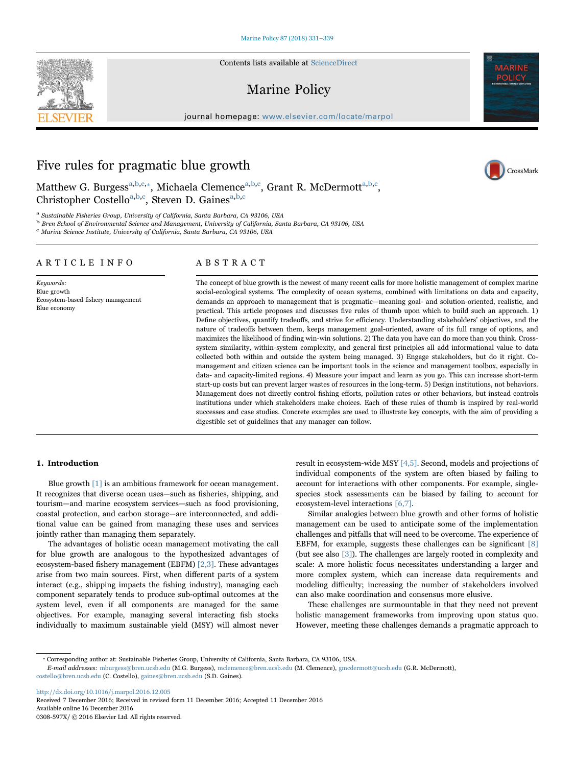Contents lists available at [ScienceDirect](http://www.sciencedirect.com/science/journal/0308597X)

## Marine Policy

journal homepage: [www.elsevier.com/locate/marpol](http://www.elsevier.com/locate/marpol)

# Five rules for pragmatic blue growth

Matthew G. Burgess<sup>[a,](#page-0-0)[b,](#page-0-1)[c,](#page-0-2)\*</sup>[, Michaela Clemence](#page-0-3)<sup>a,[b,c](#page-0-1)</sup>[, Grant R. McDermott](#page-0-2)<sup>a,b,[c](#page-0-2)</sup>, Christopher Costello<sup>a,[b,](#page-0-1)c</sup>[, Steven D. Gaines](#page-0-2)<sup>[a,](#page-0-0)b,[c](#page-0-2)</sup>

<span id="page-0-0"></span><sup>a</sup> Sustainable Fisheries Group, University of California, Santa Barbara, CA 93106. USA

<span id="page-0-1"></span><sup>b</sup> Bren School of Environmental Science and Management, University of California, Santa Barbara, CA 93106, USA

<span id="page-0-2"></span><sup>c</sup> Marine Science Institute, University of California, Santa Barbara, CA 93106, USA

## ARTICLE INFO

Keywords: Blue growth Ecosystem-based fishery management Blue economy

## ABSTRACT

The concept of blue growth is the newest of many recent calls for more holistic management of complex marine social-ecological systems. The complexity of ocean systems, combined with limitations on data and capacity, demands an approach to management that is pragmatic—meaning goal- and solution-oriented, realistic, and practical. This article proposes and discusses five rules of thumb upon which to build such an approach. 1) Define objectives, quantify tradeoffs, and strive for efficiency. Understanding stakeholders' objectives, and the nature of tradeoffs between them, keeps management goal-oriented, aware of its full range of options, and maximizes the likelihood of finding win-win solutions. 2) The data you have can do more than you think. Crosssystem similarity, within-system complexity, and general first principles all add informational value to data collected both within and outside the system being managed. 3) Engage stakeholders, but do it right. Comanagement and citizen science can be important tools in the science and management toolbox, especially in data- and capacity-limited regions. 4) Measure your impact and learn as you go. This can increase short-term start-up costs but can prevent larger wastes of resources in the long-term. 5) Design institutions, not behaviors. Management does not directly control fishing efforts, pollution rates or other behaviors, but instead controls institutions under which stakeholders make choices. Each of these rules of thumb is inspired by real-world successes and case studies. Concrete examples are used to illustrate key concepts, with the aim of providing a digestible set of guidelines that any manager can follow.

#### 1. Introduction

Blue growth [\[1\]](#page-6-0) is an ambitious framework for ocean management. It recognizes that diverse ocean uses—such as fisheries, shipping, and tourism—and marine ecosystem services—such as food provisioning, coastal protection, and carbon storage—are interconnected, and additional value can be gained from managing these uses and services jointly rather than managing them separately.

The advantages of holistic ocean management motivating the call for blue growth are analogous to the hypothesized advantages of ecosystem-based fishery management (EBFM) [\[2,3\].](#page-6-1) These advantages arise from two main sources. First, when different parts of a system interact (e.g., shipping impacts the fishing industry), managing each component separately tends to produce sub-optimal outcomes at the system level, even if all components are managed for the same objectives. For example, managing several interacting fish stocks individually to maximum sustainable yield (MSY) will almost never

result in ecosystem-wide MSY [\[4,5\]](#page-6-2). Second, models and projections of individual components of the system are often biased by failing to account for interactions with other components. For example, singlespecies stock assessments can be biased by failing to account for ecosystem-level interactions [\[6,7\].](#page-6-3)

Similar analogies between blue growth and other forms of holistic management can be used to anticipate some of the implementation challenges and pitfalls that will need to be overcome. The experience of EBFM, for example, suggests these challenges can be significant [\[8\]](#page-6-4) (but see also [\[3\]\)](#page-6-5). The challenges are largely rooted in complexity and scale: A more holistic focus necessitates understanding a larger and more complex system, which can increase data requirements and modeling difficulty; increasing the number of stakeholders involved can also make coordination and consensus more elusive.

These challenges are surmountable in that they need not prevent holistic management frameworks from improving upon status quo. However, meeting these challenges demands a pragmatic approach to

<span id="page-0-3"></span>⁎ Corresponding author at: Sustainable Fisheries Group, University of California, Santa Barbara, CA 93106, USA.

E-mail addresses: mburgess@bren.ucsb.edu (M.G. Burgess), mclemence@bren.ucsb.edu (M. Clemence), gmcdermott@ucsb.edu (G.R. McDermott), costello@bren.ucsb.edu (C. Costello), gaines@bren.ucsb.edu (S.D. Gaines).

<http://dx.doi.org/10.1016/j.marpol.2016.12.005>

Received 7 December 2016; Received in revised form 11 December 2016; Accepted 11 December 2016 Available online 16 December 2016 0308-597X/ © 2016 Elsevier Ltd. All rights reserved.



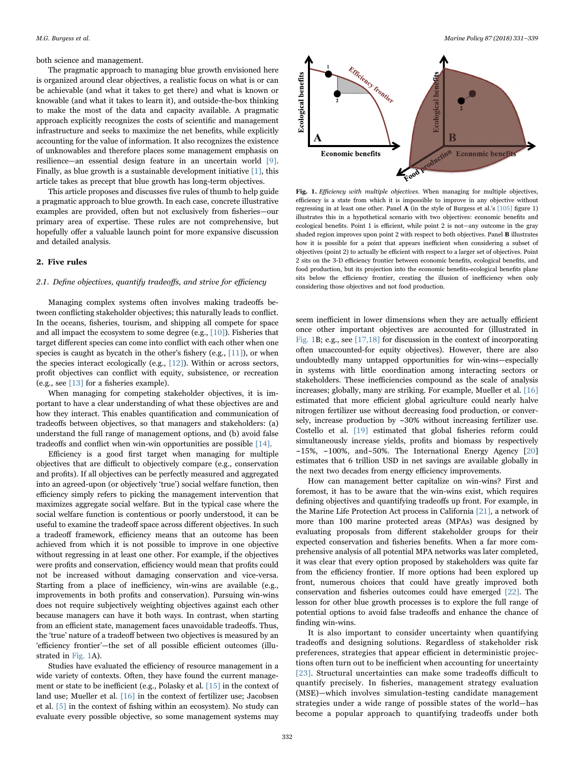both science and management.

The pragmatic approach to managing blue growth envisioned here is organized around clear objectives, a realistic focus on what is or can be achievable (and what it takes to get there) and what is known or knowable (and what it takes to learn it), and outside-the-box thinking to make the most of the data and capacity available. A pragmatic approach explicitly recognizes the costs of scientific and management infrastructure and seeks to maximize the net benefits, while explicitly accounting for the value of information. It also recognizes the existence of unknowables and therefore places some management emphasis on resilience—an essential design feature in an uncertain world [\[9\].](#page-6-6) Finally, as blue growth is a sustainable development initiative [\[1\],](#page-6-0) this article takes as precept that blue growth has long-term objectives.

This article proposes and discusses five rules of thumb to help guide a pragmatic approach to blue growth. In each case, concrete illustrative examples are provided, often but not exclusively from fisheries—our primary area of expertise. These rules are not comprehensive, but hopefully offer a valuable launch point for more expansive discussion and detailed analysis.

#### 2. Five rules

### 2.1. Define objectives, quantify tradeoffs, and strive for efficiency

Managing complex systems often involves making tradeoffs between conflicting stakeholder objectives; this naturally leads to conflict. In the oceans, fisheries, tourism, and shipping all compete for space and all impact the ecosystem to some degree (e.g., [\[10\]\)](#page-6-7). Fisheries that target different species can come into conflict with each other when one species is caught as bycatch in the other's fishery (e.g., [\[11\]\)](#page-6-8), or when the species interact ecologically (e.g., [\[12\]](#page-6-9)). Within or across sectors, profit objectives can conflict with equity, subsistence, or recreation (e.g., see [\[13\]](#page-6-10) for a fisheries example).

When managing for competing stakeholder objectives, it is important to have a clear understanding of what these objectives are and how they interact. This enables quantification and communication of tradeoffs between objectives, so that managers and stakeholders: (a) understand the full range of management options, and (b) avoid false tradeoffs and conflict when win-win opportunities are possible [\[14\].](#page-6-11)

Efficiency is a good first target when managing for multiple objectives that are difficult to objectively compare (e.g., conservation and profits). If all objectives can be perfectly measured and aggregated into an agreed-upon (or objectively 'true') social welfare function, then efficiency simply refers to picking the management intervention that maximizes aggregate social welfare. But in the typical case where the social welfare function is contentious or poorly understood, it can be useful to examine the tradeoff space across different objectives. In such a tradeoff framework, efficiency means that an outcome has been achieved from which it is not possible to improve in one objective without regressing in at least one other. For example, if the objectives were profits and conservation, efficiency would mean that profits could not be increased without damaging conservation and vice-versa. Starting from a place of inefficiency, win-wins are available (e.g., improvements in both profits and conservation). Pursuing win-wins does not require subjectively weighting objectives against each other because managers can have it both ways. In contrast, when starting from an efficient state, management faces unavoidable tradeoffs. Thus, the 'true' nature of a tradeoff between two objectives is measured by an 'efficiency frontier'—the set of all possible efficient outcomes (illustrated in [Fig. 1](#page-1-0)A).

Studies have evaluated the efficiency of resource management in a wide variety of contexts. Often, they have found the current management or state to be inefficient (e.g., Polasky et al. [\[15\]](#page-6-12) in the context of land use; Mueller et al. [\[16\]](#page-6-13) in the context of fertilizer use; Jacobsen et al. [\[5\]](#page-6-14) in the context of fishing within an ecosystem). No study can evaluate every possible objective, so some management systems may

<span id="page-1-0"></span>

Fig. 1. Efficiency with multiple objectives. When managing for multiple objectives, efficiency is a state from which it is impossible to improve in any objective without regressing in at least one other. Panel A (in the style of Burgess et al.'s [\[105\]](#page-8-0) figure 1) illustrates this in a hypothetical scenario with two objectives: economic benefits and ecological benefits. Point 1 is efficient, while point 2 is not—any outcome in the gray shaded region improves upon point 2 with respect to both objectives. Panel B illustrates how it is possible for a point that appears inefficient when considering a subset of objectives (point 2) to actually be efficient with respect to a larger set of objectives. Point 2 sits on the 3-D efficiency frontier between economic benefits, ecological benefits, and food production, but its projection into the economic benefits-ecological benefits plane sits below the efficiency frontier, creating the illusion of inefficiency when only considering those objectives and not food production.

seem inefficient in lower dimensions when they are actually efficient once other important objectives are accounted for (illustrated in [Fig. 1B](#page-1-0); e.g., see [\[17,18\]](#page-6-15) for discussion in the context of incorporating often unaccounted-for equity objectives). However, there are also undoubtedly many untapped opportunities for win-wins—especially in systems with little coordination among interacting sectors or stakeholders. These inefficiencies compound as the scale of analysis increases; globally, many are striking. For example, Mueller et al. [\[16\]](#page-6-13) estimated that more efficient global agriculture could nearly halve nitrogen fertilizer use without decreasing food production, or conversely, increase production by  $\sim 30\%$  without increasing fertilizer use. Costello et al. [\[19\]](#page-6-16) estimated that global fisheries reform could simultaneously increase yields, profits and biomass by respectively  $~15\%, -100\%, \text{ and}~50\%.$  The International Energy Agency [[20\]](#page-6-17) estimates that 6 trillion USD in net savings are available globally in the next two decades from energy efficiency improvements.

How can management better capitalize on win-wins? First and foremost, it has to be aware that the win-wins exist, which requires defining objectives and quantifying tradeoffs up front. For example, in the Marine Life Protection Act process in California [\[21\]](#page-6-18), a network of more than 100 marine protected areas (MPAs) was designed by evaluating proposals from different stakeholder groups for their expected conservation and fisheries benefits. When a far more comprehensive analysis of all potential MPA networks was later completed, it was clear that every option proposed by stakeholders was quite far from the efficiency frontier. If more options had been explored up front, numerous choices that could have greatly improved both conservation and fisheries outcomes could have emerged [\[22\]](#page-6-19). The lesson for other blue growth processes is to explore the full range of potential options to avoid false tradeoffs and enhance the chance of finding win-wins.

It is also important to consider uncertainty when quantifying tradeoffs and designing solutions. Regardless of stakeholder risk preferences, strategies that appear efficient in deterministic projections often turn out to be inefficient when accounting for uncertainty [\[23\]](#page-7-0). Structural uncertainties can make some tradeoffs difficult to quantify precisely. In fisheries, management strategy evaluation (MSE)—which involves simulation-testing candidate management strategies under a wide range of possible states of the world—has become a popular approach to quantifying tradeoffs under both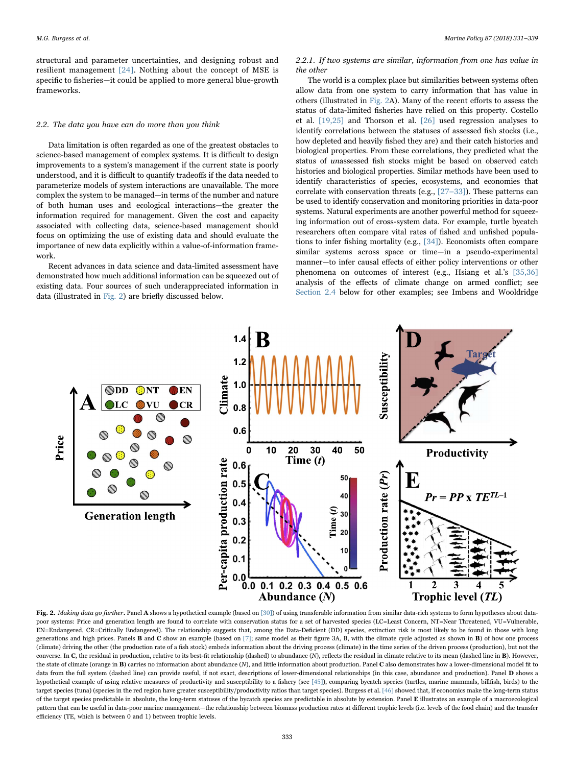structural and parameter uncertainties, and designing robust and resilient management [\[24\].](#page-7-1) Nothing about the concept of MSE is specific to fisheries—it could be applied to more general blue-growth frameworks.

#### 2.2. The data you have can do more than you think

Data limitation is often regarded as one of the greatest obstacles to science-based management of complex systems. It is difficult to design improvements to a system's management if the current state is poorly understood, and it is difficult to quantify tradeoffs if the data needed to parameterize models of system interactions are unavailable. The more complex the system to be managed—in terms of the number and nature of both human uses and ecological interactions—the greater the information required for management. Given the cost and capacity associated with collecting data, science-based management should focus on optimizing the use of existing data and should evaluate the importance of new data explicitly within a value-of-information framework.

Recent advances in data science and data-limited assessment have demonstrated how much additional information can be squeezed out of existing data. Four sources of such underappreciated information in data (illustrated in [Fig. 2\)](#page-2-0) are briefly discussed below.

## 2.2.1. If two systems are similar, information from one has value in the other

The world is a complex place but similarities between systems often allow data from one system to carry information that has value in others (illustrated in [Fig. 2](#page-2-0)A). Many of the recent efforts to assess the status of data-limited fisheries have relied on this property. Costello et al. [\[19,25\]](#page-6-16) and Thorson et al. [\[26\]](#page-7-2) used regression analyses to identify correlations between the statuses of assessed fish stocks (i.e., how depleted and heavily fished they are) and their catch histories and biological properties. From these correlations, they predicted what the status of unassessed fish stocks might be based on observed catch histories and biological properties. Similar methods have been used to identify characteristics of species, ecosystems, and economies that correlate with conservation threats (e.g., [27–[33\]\)](#page-7-3). These patterns can be used to identify conservation and monitoring priorities in data-poor systems. Natural experiments are another powerful method for squeezing information out of cross-system data. For example, turtle bycatch researchers often compare vital rates of fished and unfished populations to infer fishing mortality (e.g., [\[34\]\)](#page-7-4). Economists often compare similar systems across space or time—in a pseudo-experimental manner—to infer causal effects of either policy interventions or other phenomena on outcomes of interest (e.g., Hsiang et al.'s [\[35,36\]](#page-7-5) analysis of the effects of climate change on armed conflict; see [Section 2.4](#page-4-0) below for other examples; see Imbens and Wooldridge

<span id="page-2-0"></span>

Fig. 2. Making data go further. Panel A shows a hypothetical example (based on [\[30\]](#page-7-6)) of using transferable information from similar data-rich systems to form hypotheses about datapoor systems: Price and generation length are found to correlate with conservation status for a set of harvested species (LC=Least Concern, NT=Near Threatened, VU=Vulnerable, EN=Endangered, CR=Critically Endangered). The relationship suggests that, among the Data-Deficient (DD) species, extinction risk is most likely to be found in those with long generations and high prices. Panels **B** and C show an example (based on  $[7]$ ; same model as their figure 3A, B, with the climate cycle adjusted as shown in **B**) of how one process (climate) driving the other (the production rate of a fish stock) embeds information about the driving process (climate) in the time series of the driven process (production), but not the converse. In C, the residual in production, relative to its best-fit relationship (dashed) to abundance (N), reflects the residual in climate relative to its mean (dashed line in B). However, the state of climate (orange in B) carries no information about abundance (N), and little information about production. Panel C also demonstrates how a lower-dimensional model fit to data from the full system (dashed line) can provide useful, if not exact, descriptions of lower-dimensional relationships (in this case, abundance and production). Panel D shows a hypothetical example of using relative measures of productivity and susceptibility to a fishery (see [\[45\]\)](#page-7-7), comparing bycatch species (turtles, marine mammals, billfish, birds) to the target species (tuna) (species in the red region have greater susceptibility/productivity ratios than target species). Burgess et al. [\[46\]](#page-7-8) showed that, if economics make the long-term status of the target species predictable in absolute, the long-term statuses of the bycatch species are predictable in absolute by extension. Panel E illustrates an example of a macroecological pattern that can be useful in data-poor marine management—the relationship between biomass production rates at different trophic levels (i.e. levels of the food chain) and the transfer efficiency (TE, which is between 0 and 1) between trophic levels.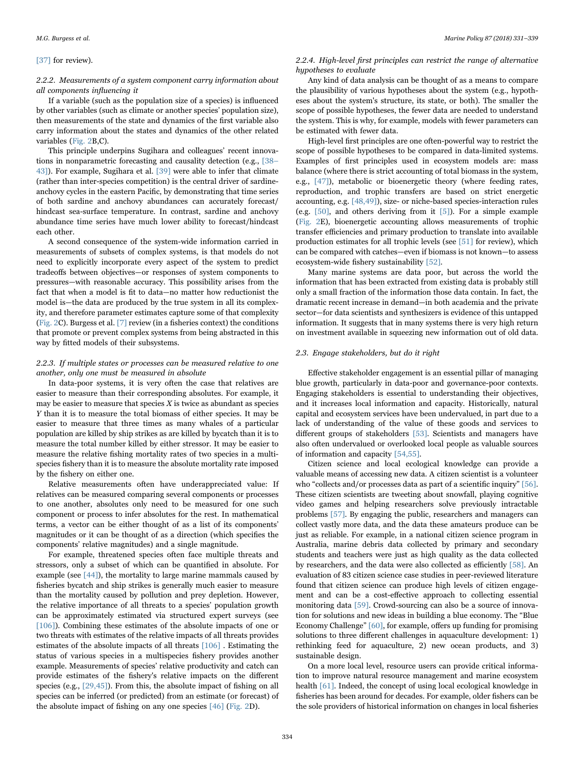## 2.2.2. Measurements of a system component carry information about all components influencing it

If a variable (such as the population size of a species) is influenced by other variables (such as climate or another species' population size), then measurements of the state and dynamics of the first variable also carry information about the states and dynamics of the other related variables ([Fig. 2](#page-2-0)B,C).

This principle underpins Sugihara and colleagues' recent innovations in nonparametric forecasting and causality detection (e.g., [\[38](#page-7-10)– [43\]\)](#page-7-10). For example, Sugihara et al. [\[39\]](#page-7-11) were able to infer that climate (rather than inter-species competition) is the central driver of sardineanchovy cycles in the eastern Pacific, by demonstrating that time series of both sardine and anchovy abundances can accurately forecast/ hindcast sea-surface temperature. In contrast, sardine and anchovy abundance time series have much lower ability to forecast/hindcast each other.

A second consequence of the system-wide information carried in measurements of subsets of complex systems, is that models do not need to explicitly incorporate every aspect of the system to predict tradeoffs between objectives—or responses of system components to pressures—with reasonable accuracy. This possibility arises from the fact that when a model is fit to data—no matter how reductionist the model is—the data are produced by the true system in all its complexity, and therefore parameter estimates capture some of that complexity ([Fig. 2](#page-2-0)C). Burgess et al. [\[7\]](#page-6-20) review (in a fisheries context) the conditions that promote or prevent complex systems from being abstracted in this way by fitted models of their subsystems.

## 2.2.3. If multiple states or processes can be measured relative to one another, only one must be measured in absolute

In data-poor systems, it is very often the case that relatives are easier to measure than their corresponding absolutes. For example, it may be easier to measure that species  $X$  is twice as abundant as species Y than it is to measure the total biomass of either species. It may be easier to measure that three times as many whales of a particular population are killed by ship strikes as are killed by bycatch than it is to measure the total number killed by either stressor. It may be easier to measure the relative fishing mortality rates of two species in a multispecies fishery than it is to measure the absolute mortality rate imposed by the fishery on either one.

Relative measurements often have underappreciated value: If relatives can be measured comparing several components or processes to one another, absolutes only need to be measured for one such component or process to infer absolutes for the rest. In mathematical terms, a vector can be either thought of as a list of its components' magnitudes or it can be thought of as a direction (which specifies the components' relative magnitudes) and a single magnitude.

For example, threatened species often face multiple threats and stressors, only a subset of which can be quantified in absolute. For example (see [\[44\]\)](#page-7-12), the mortality to large marine mammals caused by fisheries bycatch and ship strikes is generally much easier to measure than the mortality caused by pollution and prey depletion. However, the relative importance of all threats to a species' population growth can be approximately estimated via structured expert surveys (see [\[106\]](#page-8-1)). Combining these estimates of the absolute impacts of one or two threats with estimates of the relative impacts of all threats provides estimates of the absolute impacts of all threats [\[106\]](#page-8-1) . Estimating the status of various species in a multispecies fishery provides another example. Measurements of species' relative productivity and catch can provide estimates of the fishery's relative impacts on the different species (e.g., [\[29,45\]](#page-7-13)). From this, the absolute impact of fishing on all species can be inferred (or predicted) from an estimate (or forecast) of the absolute impact of fishing on any one species [\[46\]](#page-7-8) ([Fig. 2](#page-2-0)D).

### 2.2.4. High-level first principles can restrict the range of alternative hypotheses to evaluate

Any kind of data analysis can be thought of as a means to compare the plausibility of various hypotheses about the system (e.g., hypotheses about the system's structure, its state, or both). The smaller the scope of possible hypotheses, the fewer data are needed to understand the system. This is why, for example, models with fewer parameters can be estimated with fewer data.

High-level first principles are one often-powerful way to restrict the scope of possible hypotheses to be compared in data-limited systems. Examples of first principles used in ecosystem models are: mass balance (where there is strict accounting of total biomass in the system, e.g., [\[47\]\)](#page-7-14), metabolic or bioenergetic theory (where feeding rates, reproduction, and trophic transfers are based on strict energetic accounting, e.g. [\[48,49\]](#page-7-15)), size- or niche-based species-interaction rules (e.g. [\[50\]](#page-7-16), and others deriving from it [\[5\]](#page-6-14)). For a simple example ([Fig. 2E](#page-2-0)), bioenergetic accounting allows measurements of trophic transfer efficiencies and primary production to translate into available production estimates for all trophic levels (see [\[51\]](#page-7-17) for review), which can be compared with catches—even if biomass is not known—to assess ecosystem-wide fishery sustainability [\[52\]](#page-7-18).

Many marine systems are data poor, but across the world the information that has been extracted from existing data is probably still only a small fraction of the information those data contain. In fact, the dramatic recent increase in demand—in both academia and the private sector—for data scientists and synthesizers is evidence of this untapped information. It suggests that in many systems there is very high return on investment available in squeezing new information out of old data.

### 2.3. Engage stakeholders, but do it right

Effective stakeholder engagement is an essential pillar of managing blue growth, particularly in data-poor and governance-poor contexts. Engaging stakeholders is essential to understanding their objectives, and it increases local information and capacity. Historically, natural capital and ecosystem services have been undervalued, in part due to a lack of understanding of the value of these goods and services to different groups of stakeholders [\[53\].](#page-7-19) Scientists and managers have also often undervalued or overlooked local people as valuable sources of information and capacity [\[54,55\].](#page-7-20)

Citizen science and local ecological knowledge can provide a valuable means of accessing new data. A citizen scientist is a volunteer who "collects and/or processes data as part of a scientific inquiry" [\[56\].](#page-7-21) These citizen scientists are tweeting about snowfall, playing cognitive video games and helping researchers solve previously intractable problems [\[57\]](#page-7-22). By engaging the public, researchers and managers can collect vastly more data, and the data these amateurs produce can be just as reliable. For example, in a national citizen science program in Australia, marine debris data collected by primary and secondary students and teachers were just as high quality as the data collected by researchers, and the data were also collected as efficiently [\[58\].](#page-7-23) An evaluation of 83 citizen science case studies in peer-reviewed literature found that citizen science can produce high levels of citizen engagement and can be a cost-effective approach to collecting essential monitoring data [\[59\]](#page-7-24). Crowd-sourcing can also be a source of innovation for solutions and new ideas in building a blue economy. The "Blue Economy Challenge" [\[60\],](#page-7-25) for example, offers up funding for promising solutions to three different challenges in aquaculture development: 1) rethinking feed for aquaculture, 2) new ocean products, and 3) sustainable design.

On a more local level, resource users can provide critical information to improve natural resource management and marine ecosystem health [\[61\]](#page-7-26). Indeed, the concept of using local ecological knowledge in fisheries has been around for decades. For example, older fishers can be the sole providers of historical information on changes in local fisheries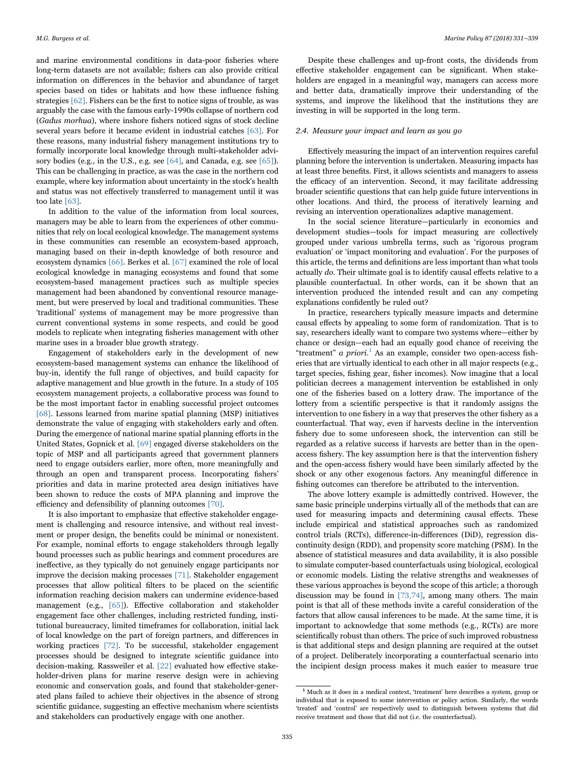and marine environmental conditions in data-poor fisheries where long-term datasets are not available; fishers can also provide critical information on differences in the behavior and abundance of target species based on tides or habitats and how these influence fishing strategies [\[62\]](#page-7-27). Fishers can be the first to notice signs of trouble, as was arguably the case with the famous early-1990s collapse of northern cod (Gadus morhua), where inshore fishers noticed signs of stock decline several years before it became evident in industrial catches [\[63\]](#page-7-28). For these reasons, many industrial fishery management institutions try to formally incorporate local knowledge through multi-stakeholder advi-sory bodies (e.g., in the U.S., e.g. see [\[64\],](#page-7-29) and Canada, e.g. see [\[65\]\)](#page-7-30). This can be challenging in practice, as was the case in the northern cod example, where key information about uncertainty in the stock's health and status was not effectively transferred to management until it was too late [\[63\]](#page-7-28).

In addition to the value of the information from local sources, managers may be able to learn from the experiences of other communities that rely on local ecological knowledge. The management systems in these communities can resemble an ecosystem-based approach, managing based on their in-depth knowledge of both resource and ecosystem dynamics [\[66\]](#page-7-31). Berkes et al. [\[67\]](#page-7-32) examined the role of local ecological knowledge in managing ecosystems and found that some ecosystem-based management practices such as multiple species management had been abandoned by conventional resource management, but were preserved by local and traditional communities. These 'traditional' systems of management may be more progressive than current conventional systems in some respects, and could be good models to replicate when integrating fisheries management with other marine uses in a broader blue growth strategy.

Engagement of stakeholders early in the development of new ecosystem-based management systems can enhance the likelihood of buy-in, identify the full range of objectives, and build capacity for adaptive management and blue growth in the future. In a study of 105 ecosystem management projects, a collaborative process was found to be the most important factor in enabling successful project outcomes [\[68\].](#page-7-33) Lessons learned from marine spatial planning (MSP) initiatives demonstrate the value of engaging with stakeholders early and often. During the emergence of national marine spatial planning efforts in the United States, Gopnick et al. [\[69\]](#page-7-34) engaged diverse stakeholders on the topic of MSP and all participants agreed that government planners need to engage outsiders earlier, more often, more meaningfully and through an open and transparent process. Incorporating fishers' priorities and data in marine protected area design initiatives have been shown to reduce the costs of MPA planning and improve the efficiency and defensibility of planning outcomes [\[70\]](#page-7-35).

It is also important to emphasize that effective stakeholder engagement is challenging and resource intensive, and without real investment or proper design, the benefits could be minimal or nonexistent. For example, nominal efforts to engage stakeholders through legally bound processes such as public hearings and comment procedures are ineffective, as they typically do not genuinely engage participants nor improve the decision making processes [\[71\].](#page-7-36) Stakeholder engagement processes that allow political filters to be placed on the scientific information reaching decision makers can undermine evidence-based management (e.g., [\[65\]\)](#page-7-30). Effective collaboration and stakeholder engagement face other challenges, including restricted funding, institutional bureaucracy, limited timeframes for collaboration, initial lack of local knowledge on the part of foreign partners, and differences in working practices [\[72\].](#page-7-37) To be successful, stakeholder engagement processes should be designed to integrate scientific guidance into decision-making. Rassweiler et al. [\[22\]](#page-6-19) evaluated how effective stakeholder-driven plans for marine reserve design were in achieving economic and conservation goals, and found that stakeholder-generated plans failed to achieve their objectives in the absence of strong scientific guidance, suggesting an effective mechanism where scientists and stakeholders can productively engage with one another.

Despite these challenges and up-front costs, the dividends from effective stakeholder engagement can be significant. When stakeholders are engaged in a meaningful way, managers can access more and better data, dramatically improve their understanding of the systems, and improve the likelihood that the institutions they are investing in will be supported in the long term.

#### <span id="page-4-0"></span>2.4. Measure your impact and learn as you go

Effectively measuring the impact of an intervention requires careful planning before the intervention is undertaken. Measuring impacts has at least three benefits. First, it allows scientists and managers to assess the efficacy of an intervention. Second, it may facilitate addressing broader scientific questions that can help guide future interventions in other locations. And third, the process of iteratively learning and revising an intervention operationalizes adaptive management.

In the social science literature—particularly in economics and development studies—tools for impact measuring are collectively grouped under various umbrella terms, such as 'rigorous program evaluation' or 'impact monitoring and evaluation'. For the purposes of this article, the terms and definitions are less important than what tools actually do. Their ultimate goal is to identify causal effects relative to a plausible counterfactual. In other words, can it be shown that an intervention produced the intended result and can any competing explanations confidently be ruled out?

In practice, researchers typically measure impacts and determine causal effects by appealing to some form of randomization. That is to say, researchers ideally want to compare two systems where—either by chance or design—each had an equally good chance of receiving the "treatment" a priori.<sup>1</sup> [As an example, consider two open-access](#page-4-1) fisheries that are virtually identical to each other in all major respects (e.g., target species, fishing gear, fisher incomes). Now imagine that a local politician decrees a management intervention be established in only one of the fisheries based on a lottery draw. The importance of the lottery from a scientific perspective is that it randomly assigns the intervention to one fishery in a way that preserves the other fishery as a counterfactual. That way, even if harvests decline in the intervention fishery due to some unforeseen shock, the intervention can still be regarded as a relative success if harvests are better than in the openaccess fishery. The key assumption here is that the intervention fishery and the open-access fishery would have been similarly affected by the shock or any other exogenous factors. Any meaningful difference in fishing outcomes can therefore be attributed to the intervention.

The above lottery example is admittedly contrived. However, the same basic principle underpins virtually all of the methods that can are used for measuring impacts and determining causal effects. These include empirical and statistical approaches such as randomized control trials (RCTs), difference-in-differences (DiD), regression discontinuity design (RDD), and propensity score matching (PSM). In the absence of statistical measures and data availability, it is also possible to simulate computer-based counterfactuals using biological, ecological or economic models. Listing the relative strengths and weaknesses of these various approaches is beyond the scope of this article; a thorough discussion may be found in [\[73,74\]](#page-7-38), among many others. The main point is that all of these methods invite a careful consideration of the factors that allow causal inferences to be made. At the same time, it is important to acknowledge that some methods (e.g., RCTs) are more scientifically robust than others. The price of such improved robustness is that additional steps and design planning are required at the outset of a project. Deliberately incorporating a counterfactual scenario into the incipient design process makes it much easier to measure true

<span id="page-4-1"></span><sup>1</sup> Much as it does in a medical context, 'treatment' here describes a system, group or individual that is exposed to some intervention or policy action. Similarly, the words 'treated' and 'control' are respectively used to distinguish between systems that did receive treatment and those that did not (i.e. the counterfactual).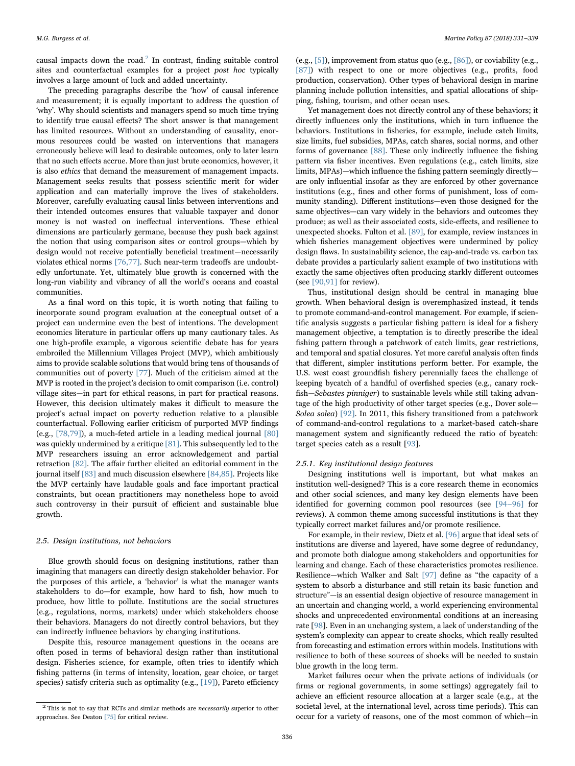causal impacts down the road.<sup>2</sup> In contrast, fi[nding suitable control](#page-5-0) sites and counterfactual examples for a project post hoc typically involves a large amount of luck and added uncertainty.

The preceding paragraphs describe the 'how' of causal inference and measurement; it is equally important to address the question of 'why'. Why should scientists and managers spend so much time trying to identify true causal effects? The short answer is that management has limited resources. Without an understanding of causality, enormous resources could be wasted on interventions that managers erroneously believe will lead to desirable outcomes, only to later learn that no such effects accrue. More than just brute economics, however, it is also ethics that demand the measurement of management impacts. Management seeks results that possess scientific merit for wider application and can materially improve the lives of stakeholders. Moreover, carefully evaluating causal links between interventions and their intended outcomes ensures that valuable taxpayer and donor money is not wasted on ineffectual interventions. These ethical dimensions are particularly germane, because they push back against the notion that using comparison sites or control groups—which by design would not receive potentially beneficial treatment—necessarily violates ethical norms [\[76,77\].](#page-7-39) Such near-term tradeoffs are undoubtedly unfortunate. Yet, ultimately blue growth is concerned with the long-run viability and vibrancy of all the world's oceans and coastal communities.

As a final word on this topic, it is worth noting that failing to incorporate sound program evaluation at the conceptual outset of a project can undermine even the best of intentions. The development economics literature in particular offers up many cautionary tales. As one high-profile example, a vigorous scientific debate has for years embroiled the Millennium Villages Project (MVP), which ambitiously aims to provide scalable solutions that would bring tens of thousands of communities out of poverty [\[77](#page-7-40)]. Much of the criticism aimed at the MVP is rooted in the project's decision to omit comparison (i.e. control) village sites—in part for ethical reasons, in part for practical reasons. However, this decision ultimately makes it difficult to measure the project's actual impact on poverty reduction relative to a plausible counterfactual. Following earlier criticism of purported MVP findings (e.g., [\[78,79\]](#page-7-41)), a much-feted article in a leading medical journal [\[80\]](#page-8-2) was quickly undermined by a critique [\[81\]](#page-8-3). This subsequently led to the MVP researchers issuing an error acknowledgement and partial retraction [\[82\]](#page-8-4). The affair further elicited an editorial comment in the journal itself [\[83\]](#page-8-5) and much discussion elsewhere [\[84,85\]](#page-8-6). Projects like the MVP certainly have laudable goals and face important practical constraints, but ocean practitioners may nonetheless hope to avoid such controversy in their pursuit of efficient and sustainable blue growth.

#### 2.5. Design institutions, not behaviors

Blue growth should focus on designing institutions, rather than imagining that managers can directly design stakeholder behavior. For the purposes of this article, a 'behavior' is what the manager wants stakeholders to do—for example, how hard to fish, how much to produce, how little to pollute. Institutions are the social structures (e.g., regulations, norms, markets) under which stakeholders choose their behaviors. Managers do not directly control behaviors, but they can indirectly influence behaviors by changing institutions.

Despite this, resource management questions in the oceans are often posed in terms of behavioral design rather than institutional design. Fisheries science, for example, often tries to identify which fishing patterns (in terms of intensity, location, gear choice, or target species) satisfy criteria such as optimality (e.g., [\[19\]\)](#page-6-16), Pareto efficiency

(e.g., [\[5\]](#page-6-14)), improvement from status quo (e.g., [\[86\]](#page-8-7)), or coviability (e.g., [\[87\]\)](#page-8-8) with respect to one or more objectives (e.g., profits, food production, conservation). Other types of behavioral design in marine planning include pollution intensities, and spatial allocations of shipping, fishing, tourism, and other ocean uses.

Yet management does not directly control any of these behaviors; it directly influences only the institutions, which in turn influence the behaviors. Institutions in fisheries, for example, include catch limits, size limits, fuel subsidies, MPAs, catch shares, social norms, and other forms of governance [\[88\]](#page-8-9). These only indirectly influence the fishing pattern via fisher incentives. Even regulations (e.g., catch limits, size limits, MPAs)—which influence the fishing pattern seemingly directly are only influential insofar as they are enforced by other governance institutions (e.g., fines and other forms of punishment, loss of community standing). Different institutions—even those designed for the same objectives—can vary widely in the behaviors and outcomes they produce; as well as their associated costs, side-effects, and resilience to unexpected shocks. Fulton et al. [\[89\]](#page-8-10), for example, review instances in which fisheries management objectives were undermined by policy design flaws. In sustainability science, the cap-and-trade vs. carbon tax debate provides a particularly salient example of two institutions with exactly the same objectives often producing starkly different outcomes (see [\[90,91\]](#page-8-11) for review).

Thus, institutional design should be central in managing blue growth. When behavioral design is overemphasized instead, it tends to promote command-and-control management. For example, if scientific analysis suggests a particular fishing pattern is ideal for a fishery management objective, a temptation is to directly prescribe the ideal fishing pattern through a patchwork of catch limits, gear restrictions, and temporal and spatial closures. Yet more careful analysis often finds that different, simpler institutions perform better. For example, the U.S. west coast groundfish fishery perennially faces the challenge of keeping bycatch of a handful of overfished species (e.g., canary rockfish—Sebastes pinniger) to sustainable levels while still taking advantage of the high productivity of other target species (e.g., Dover sole— Solea solea) [\[92\].](#page-8-12) In 2011, this fishery transitioned from a patchwork of command-and-control regulations to a market-based catch-share management system and significantly reduced the ratio of bycatch: target species catch as a result [[93\]](#page-8-13).

#### 2.5.1. Key institutional design features

Designing institutions well is important, but what makes an institution well-designed? This is a core research theme in economics and other social sciences, and many key design elements have been identified for governing common pool resources (see [94–[96\]](#page-8-14) for reviews). A common theme among successful institutions is that they typically correct market failures and/or promote resilience.

For example, in their review, Dietz et al. [\[96\]](#page-8-15) argue that ideal sets of institutions are diverse and layered, have some degree of redundancy, and promote both dialogue among stakeholders and opportunities for learning and change. Each of these characteristics promotes resilience. Resilience—which Walker and Salt [\[97\]](#page-8-16) define as "the capacity of a system to absorb a disturbance and still retain its basic function and structure"—is an essential design objective of resource management in an uncertain and changing world, a world experiencing environmental shocks and unprecedented environmental conditions at an increasing rate [\[98](#page-8-17)]. Even in an unchanging system, a lack of understanding of the system's complexity can appear to create shocks, which really resulted from forecasting and estimation errors within models. Institutions with resilience to both of these sources of shocks will be needed to sustain blue growth in the long term.

Market failures occur when the private actions of individuals (or firms or regional governments, in some settings) aggregately fail to achieve an efficient resource allocation at a larger scale (e.g., at the societal level, at the international level, across time periods). This can occur for a variety of reasons, one of the most common of which—in

<span id="page-5-0"></span> $^2$  This is not to say that RCTs and similar methods are  $necessarily$  superior to other approaches. See Deaton [\[75\]](#page-7-42) for critical review.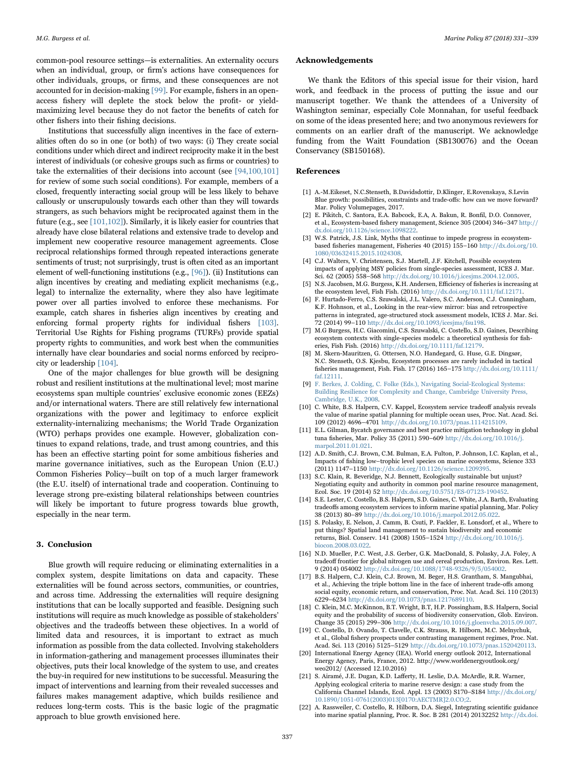common-pool resource settings—is externalities. An externality occurs when an individual, group, or firm's actions have consequences for other individuals, groups, or firms, and these consequences are not accounted for in decision-making [\[99\].](#page-8-18) For example, fishers in an openaccess fishery will deplete the stock below the profit- or yieldmaximizing level because they do not factor the benefits of catch for other fishers into their fishing decisions.

Institutions that successfully align incentives in the face of externalities often do so in one (or both) of two ways: (i) They create social conditions under which direct and indirect reciprocity make it in the best interest of individuals (or cohesive groups such as firms or countries) to take the externalities of their decisions into account (see [\[94,100,101\]](#page-8-14) for review of some such social conditions). For example, members of a closed, frequently interacting social group will be less likely to behave callously or unscrupulously towards each other than they will towards strangers, as such behaviors might be reciprocated against them in the future (e.g., see [\[101,102\]\)](#page-8-19). Similarly, it is likely easier for countries that already have close bilateral relations and extensive trade to develop and implement new cooperative resource management agreements. Close reciprocal relationships formed through repeated interactions generate sentiments of trust; not surprisingly, trust is often cited as an important element of well-functioning institutions (e.g., [\[96\]\)](#page-8-15). (ii) Institutions can align incentives by creating and mediating explicit mechanisms (e.g., legal) to internalize the externality, where they also have legitimate power over all parties involved to enforce these mechanisms. For example, catch shares in fisheries align incentives by creating and enforcing formal property rights for individual fishers [\[103\].](#page-8-20) Territorial Use Rights for Fishing programs (TURFs) provide spatial property rights to communities, and work best when the communities internally have clear boundaries and social norms enforced by reciprocity or leadership [\[104\]](#page-8-21).

One of the major challenges for blue growth will be designing robust and resilient institutions at the multinational level; most marine ecosystems span multiple countries' exclusive economic zones (EEZs) and/or international waters. There are still relatively few international organizations with the power and legitimacy to enforce explicit externality-internalizing mechanisms; the World Trade Organization (WTO) perhaps provides one example. However, globalization continues to expand relations, trade, and trust among countries, and this has been an effective starting point for some ambitious fisheries and marine governance initiatives, such as the European Union (E.U.) Common Fisheries Policy—built on top of a much larger framework (the E.U. itself) of international trade and cooperation. Continuing to leverage strong pre-existing bilateral relationships between countries will likely be important to future progress towards blue growth, especially in the near term.

### 3. Conclusion

Blue growth will require reducing or eliminating externalities in a complex system, despite limitations on data and capacity. These externalities will be found across sectors, communities, or countries, and across time. Addressing the externalities will require designing institutions that can be locally supported and feasible. Designing such institutions will require as much knowledge as possible of stakeholders' objectives and the tradeoffs between these objectives. In a world of limited data and resources, it is important to extract as much information as possible from the data collected. Involving stakeholders in information-gathering and management processes illuminates their objectives, puts their local knowledge of the system to use, and creates the buy-in required for new institutions to be successful. Measuring the impact of interventions and learning from their revealed successes and failures makes management adaptive, which builds resilience and reduces long-term costs. This is the basic logic of the pragmatic approach to blue growth envisioned here.

#### Acknowledgements

We thank the Editors of this special issue for their vision, hard work, and feedback in the process of putting the issue and our manuscript together. We thank the attendees of a University of Washington seminar, especially Cole Monnahan, for useful feedback on some of the ideas presented here; and two anonymous reviewers for comments on an earlier draft of the manuscript. We acknowledge funding from the Waitt Foundation (SB130076) and the Ocean Conservancy (SB150168).

## References

- <span id="page-6-0"></span>[1] A.-M.Eikeset, N.C.Stenseth, B.Davidsdottir, D.Klinger, E.Rovenskaya, S.Levin Blue growth: possibilities, constraints and trade-offs: how can we move forward? Mar. Policy Volumepages, 2017.
- <span id="page-6-1"></span>[2] E. Pikitch, C. Santora, E.A. Babcock, E.A, A. Bakun, R. Bonfil, D.O. Connover, et al., Ecosystem-based fishery management, Science 305 (2004) 346–347 [http://](http://dx.doi.org/10.1126/science.1098222) [dx.doi.org/10.1126/science.1098222](http://dx.doi.org/10.1126/science.1098222).
- <span id="page-6-5"></span>[3] W.S. Patrick, J.S. Link, Myths that continue to impede progress in ecosystembased fisheries management, Fisheries 40 (2015) 155–160 [http://dx.doi.org/10.](http://dx.doi.org/10.1080/03632415.2015.1024308) [1080/03632415.2015.1024308](http://dx.doi.org/10.1080/03632415.2015.1024308).
- <span id="page-6-2"></span>[4] C.J. Walters, V. Christensen, S.J. Martell, J.F. Kitchell, Possible ecosystem impacts of applying MSY policies from single-species assessment, ICES J. Mar. Sci. 62 (2005) 558–568 <http://dx.doi.org/10.1016/j.icesjms.2004.12.005>.
- <span id="page-6-14"></span>[5] N.S. Jacobsen, M.G. Burgess, K.H. Andersen, Efficiency of fisheries is increasing at the ecosystem level, Fish Fish. (2016) <http://dx.doi.org/10.1111/faf.12171>.
- <span id="page-6-3"></span>[6] F. Hurtado-Ferro, C.S. Szuwalski, J.L. Valero, S.C. Anderson, C.J. Cunningham, K.F. Hohnson, et al., Looking in the rear-view mirror: bias and retrospective patterns in integrated, age-structured stock assessment models, ICES J. Mar. Sci. 72 (2014) 99–110 [http://dx.doi.org/10.1093/icesjms/fsu198.](http://dx.doi.org/10.1093/icesjms/fsu198)
- <span id="page-6-20"></span>[7] M.G Burgess, H.C. Giacomini, C.S. Szuwalski, C. Costello, S.D. Gaines, Describing ecosystem contexts with single-species models: a theoretical synthesis for fisheries, Fish Fish. (2016) [http://dx.doi.org/10.1111/faf.12179.](http://dx.doi.org/10.1111/faf.12179)
- <span id="page-6-4"></span>[8] M. Skern-Mauritzen, G. Ottersen, N.O. Handegard, G. Huse, G.E. Dingsør, N.C. Stenseth, O.S. Kjesbu, Ecosystem processes are rarely included in tactical fisheries management, Fish. Fish. 17 (2016) 165–175 [http://dx.doi.org/10.1111/](http://dx.doi.org/10.1111/faf.12111) [faf.12111](http://dx.doi.org/10.1111/faf.12111).
- <span id="page-6-6"></span>[9] [F. Berkes, J. Colding, C. Folke \(Eds.\), Navigating Social-Ecological Systems:](http://refhub.elsevier.com/S0308-597X(16)30791-6/sbref8) [Building Resilience for Complexity and Change, Cambridge University Press,](http://refhub.elsevier.com/S0308-597X(16)30791-6/sbref8) [Cambridge, U.K., 2008.](http://refhub.elsevier.com/S0308-597X(16)30791-6/sbref8)
- <span id="page-6-7"></span>[10] C. White, B.S. Halpern, C.V. Kappel, Ecosystem service tradeoff analysis reveals the value of marine spatial planning for multiple ocean uses, Proc. Nat. Acad. Sci. 109 (2012) 4696–4701 [http://dx.doi.org/10.1073/pnas.1114215109.](http://dx.doi.org/10.1073/pnas.1114215109)
- <span id="page-6-8"></span>[11] E.L. Gilman, Bycatch governance and best practice mitigation technology in global tuna fisheries, Mar. Policy 35 (2011) 590–609 [http://dx.doi.org/10.1016/j.](http://dx.doi.org/10.1016/j.marpol.2011.01.021) [marpol.2011.01.021.](http://dx.doi.org/10.1016/j.marpol.2011.01.021)
- <span id="page-6-9"></span>[12] A.D. Smith, C.J. Brown, C.M. Bulman, E.A. Fulton, P. Johnson, I.C. Kaplan, et al., Impacts of fishing low–trophic level species on marine ecosystems, Science 333 (2011) 1147–1150 <http://dx.doi.org/10.1126/science.1209395>.
- <span id="page-6-10"></span>[13] S.C. Klain, R. Beveridge, N.J. Bennett, Ecologically sustainable but unjust? Negotiating equity and authority in common pool marine resource management, Ecol. Soc. 19 (2014) 52 <http://dx.doi.org/10.5751/ES-07123-190452>.
- <span id="page-6-11"></span>[14] S.E. Lester, C. Costello, B.S. Halpern, S.D. Gaines, C. White, J.A. Barth, Evaluating tradeoffs among ecosystem services to inform marine spatial planning, Mar. Policy 38 (2013) 80–89 <http://dx.doi.org/10.1016/j.marpol.2012.05.022>.
- <span id="page-6-12"></span>[15] S. Polasky, E. Nelson, J. Camm, B. Csuti, P. Fackler, E. Lonsdorf, et al., Where to put things? Spatial land management to sustain biodiversity and economic returns, Biol. Conserv. 141 (2008) 1505–1524 [http://dx.doi.org/10.1016/j.](http://dx.doi.org/10.1016/j.biocon.2008.03.022) [biocon.2008.03.022.](http://dx.doi.org/10.1016/j.biocon.2008.03.022)
- <span id="page-6-13"></span>[16] N.D. Mueller, P.C. West, J.S. Gerber, G.K. MacDonald, S. Polasky, J.A. Foley, A tradeoff frontier for global nitrogen use and cereal production, Environ. Res. Lett. 9 (2014) 054002 <http://dx.doi.org/10.1088/1748-9326/9/5/054002>.
- <span id="page-6-15"></span>[17] B.S. Halpern, C.J. Klein, C.J. Brown, M. Beger, H.S. Grantham, S. Mangubhai, et al., Achieving the triple bottom line in the face of inherent trade-offs among social equity, economic return, and conservation, Proc. Nat. Acad. Sci. 110 (2013) 6229–6234 [http://dx.doi.org/10.1073/pnas.1217689110.](http://dx.doi.org/10.1073/pnas.1217689110)
- [18] C. Klein, M.C. McKinnon, B.T. Wright, B.T, H.P. Possingham, B.S. Halpern, Social equity and the probability of success of biodiversity conservation, Glob. Environ. Change 35 (2015) 299–306 [http://dx.doi.org/10.1016/j.gloenvcha.2015.09.007.](http://dx.doi.org/10.1016/j.gloenvcha.2015.09.007)
- <span id="page-6-16"></span>[19] C. Costello, D. Ovando, T. Clavelle, C.K. Strauss, R. Hilborn, M.C. Melnychuk, et al., Global fishery prospects under contrasting management regimes, Proc. Nat. Acad. Sci. 113 (2016) 5125–5129 [http://dx.doi.org/10.1073/pnas.1520420113.](http://dx.doi.org/10.1073/pnas.1520420113)
- <span id="page-6-17"></span>[20] International Energy Agency (IEA). World energy outlook 2012, International Energy Agency, Paris, France, 2012. http://www.worldenergyoutlook.org/ weo2012/ (Accessed 12.10.2016)
- <span id="page-6-18"></span>[21] S. Airamé, J.E. Dugan, K.D. Lafferty, H. Leslie, D.A. McArdle, R.R. Warner, Applying ecological criteria to marine reserve design: a case study from the California Channel Islands, Ecol. Appl. 13 (2003) S170–S184 [http://dx.doi.org/](http://dx.doi.org/10.1890/1051-0761(2003)013[0170:AECTMR]2.0.CO;2) [10.1890/1051-0761\(2003\)013\[0170:AECTMR\]2.0.CO;2](http://dx.doi.org/10.1890/1051-0761(2003)013[0170:AECTMR]2.0.CO;2).
- <span id="page-6-19"></span>[22] A. Rassweiler, C. Costello, R. Hilborn, D.A. Siegel, Integrating scientific guidance into marine spatial planning, Proc. R. Soc. B 281 (2014) 20132252 [http://dx.doi.](http://dx.doi.org/10.1098/rspb.2013.2252)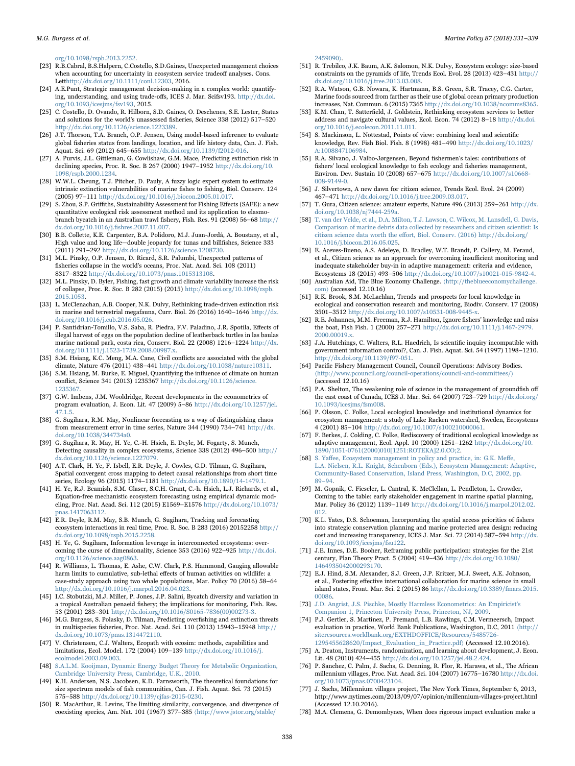[org/10.1098/rspb.2013.2252](http://dx.doi.org/10.1098/rspb.2013.2252).

- <span id="page-7-0"></span>[23] R.B.Cabral, B.S.Halpern, C.Costello, S.D.Gaines, Unexpected management choices when accounting for uncertainty in ecosystem service tradeoff analyses. Cons. Let[thttp://dx.doi.org/10.1111/conl.12303,](http://dx.doi.org/10.1111/conl.12303) 2016.
- <span id="page-7-1"></span>[24] A.E.Punt, Strategic management decision-making in a complex world: quantifying, understanding, and using trade-offs, ICES J. Mar. Scifsv193. [http://dx.doi.](http://dx.doi.org/10.1093/icesjms/fsv193) [org/10.1093/icesjms/fsv193](http://dx.doi.org/10.1093/icesjms/fsv193), 2015.
- [25] C. Costello, D. Ovando, R. Hilborn, S.D. Gaines, O. Deschenes, S.E. Lester, Status and solutions for the world's unassessed fisheries, Science 338 (2012) 517–520 [http://dx.doi.org/10.1126/science.1223389.](http://dx.doi.org/10.1126/science.1223389)
- <span id="page-7-2"></span>[26] J.T. Thorson, T.A. Branch, O.P. Jensen, Using model-based inference to evaluate global fisheries status from landings, location, and life history data, Can. J. Fish. Aquat. Sci. 69 (2012) 645–655 [http://dx.doi.org/10.1139/f2012-016.](http://dx.doi.org/10.1139/f2012-016)
- <span id="page-7-3"></span>[27] A. Purvis, J.L. Gittleman, G. Cowlishaw, G.M. Mace, Predicting extinction risk in declining species, Proc. R. Soc. B 267 (2000) 1947–1952 [http://dx.doi.org/10.](http://dx.doi.org/10.1098/rspb.2000.1234) [1098/rspb.2000.1234](http://dx.doi.org/10.1098/rspb.2000.1234).
- [28] W.W.L. Cheung, T.J. Pitcher, D. Pauly, A fuzzy logic expert system to estimate intrinsic extinction vulnerabilities of marine fishes to fishing, Biol. Conserv. 124 (2005) 97–111 <http://dx.doi.org/10.1016/j.biocon.2005.01.017>.
- <span id="page-7-13"></span>[29] S. Zhou, S.P. Griffiths, Sustainability Assessment for Fishing Effects (SAFE): a new quantitative ecological risk assessment method and its application to elasmobranch bycatch in an Australian trawl fishery, Fish. Res. 91 (2008) 56–68 [http://](http://dx.doi.org/10.1016/j.fishres.2007.11.007) [dx.doi.org/10.1016/j.](http://dx.doi.org/10.1016/j.fishres.2007.11.007)fishres.2007.11.007.
- <span id="page-7-6"></span>[30] B.B. Collette, K.E. Carpenter, B.A. Polidoro, M.J. Juan-Jordá, A. Boustany, et al., High value and long life—double jeopardy for tunas and billfishes, Science 333 (2011) 291–292 [http://dx.doi.org/10.1126/science.1208730.](http://dx.doi.org/10.1126/science.1208730)
- [31] M.L. Pinsky, O.P. Jensen, D. Ricard, S.R. Palumbi, Unexpected patterns of fisheries collapse in the world's oceans, Proc. Nat. Acad. Sci. 108 (2011) 8317–8322 [http://dx.doi.org/10.1073/pnas.1015313108.](http://dx.doi.org/10.1073/pnas.1015313108)
- [32] M.L. Pinsky, D. Byler, Fishing, fast growth and climate variability increase the risk of collapse, Proc. R. Soc. B 282 (2015) (2015) [http://dx.doi.org/10.1098/rspb.](http://dx.doi.org/10.1098/rspb.2015.1053) [2015.1053.](http://dx.doi.org/10.1098/rspb.2015.1053)
- [33] L. McClenachan, A.B. Cooper, N.K. Dulvy, Rethinking trade-driven extinction risk in marine and terrestrial megafauna, Curr. Biol. 26 (2016) 1640–1646 [http://dx.](http://dx.doi.org/10.1016/j.cub.2016.05.026) [doi.org/10.1016/j.cub.2016.05.026.](http://dx.doi.org/10.1016/j.cub.2016.05.026)
- <span id="page-7-4"></span>[34] P. Santidrian-Tomillo, V.S. Saba, R. Piedra, F.V. Paladino, J.R. Spotila, Effects of illegal harvest of eggs on the population decline of leatherback turtles in las baulas marine national park, costa rica, Conserv. Biol. 22 (2008) 1216–1224 [http://dx.](http://dx.doi.org/10.1111/j.1523-1739.2008.00987.x) [doi.org/10.1111/j.1523-1739.2008.00987.x.](http://dx.doi.org/10.1111/j.1523-1739.2008.00987.x)
- <span id="page-7-5"></span>[35] S.M. Hsiang, K.C. Meng, M.A. Cane, Civil conflicts are associated with the global climate, Nature 476 (2011) 438–441 <http://dx.doi.org/10.1038/nature10311>.
- [36] S.M. Hsiang, M. Burke, E. Miguel, Quantifying the influence of climate on human conflict, Science 341 (2013) 1235367 [http://dx.doi.org/10.1126/science.](http://dx.doi.org/10.1126/science.1235367) [1235367](http://dx.doi.org/10.1126/science.1235367).
- <span id="page-7-9"></span>[37] G.W. Imbens, J.M. Wooldridge, Recent developments in the econometrics of program evaluation, J. Econ. Lit. 47 (2009) 5–86 [http://dx.doi.org/10.1257/jel.](http://dx.doi.org/10.1257/jel.47.1.5) [47.1.5.](http://dx.doi.org/10.1257/jel.47.1.5)
- <span id="page-7-10"></span>[38] G. Sugihara, R.M. May, Nonlinear forecasting as a way of distinguishing chaos from measurement error in time series, Nature 344 (1990) 734–741 [http://dx.](http://dx.doi.org/10.1038/344734a0) [doi.org/10.1038/344734a0.](http://dx.doi.org/10.1038/344734a0)
- <span id="page-7-11"></span>[39] G. Sugihara, R. May, H. Ye, C.-H. Hsieh, E. Deyle, M. Fogarty, S. Munch, Detecting causality in complex ecosystems, Science 338 (2012) 496–500 [http://](http://dx.doi.org/10.1126/science.1227079) [dx.doi.org/10.1126/science.1227079](http://dx.doi.org/10.1126/science.1227079).
- [40] A.T. Clark, H. Ye, F. Isbell, E.R. Deyle, J. Cowles, G.D. Tilman, G. Sugihara, Spatial convergent cross mapping to detect causal relationships from short time series, Ecology 96 (2015) 1174–1181 [http://dx.doi.org/10.1890/14-1479.1.](http://dx.doi.org/10.1890/14-1479.1)
- [41] H. Ye, R.J. Beamish, S.M. Glaser, S.C.H. Grant, C.-h. Hsieh, L.J. Richards, et al., Equation-free mechanistic ecosystem forecasting using empirical dynamic modeling, Proc. Nat. Acad. Sci. 112 (2015) E1569–E1576 [http://dx.doi.org/10.1073/](http://dx.doi.org/10.1073/pnas.1417063112) [pnas.1417063112](http://dx.doi.org/10.1073/pnas.1417063112).
- [42] E.R. Deyle, R.M. May, S.B. Munch, G. Sugihara, Tracking and forecasting ecosystem interactions in real time, Proc. R. Soc. B 283 (2016) 20152258 [http://](http://dx.doi.org/10.1098/rspb.2015.2258) [dx.doi.org/10.1098/rspb.2015.2258.](http://dx.doi.org/10.1098/rspb.2015.2258)
- [43] H. Ye, G. Sugihara, Information leverage in interconnected ecosystems: overcoming the curse of dimensionality, Science 353 (2016) 922–925 [http://dx.doi.](http://dx.doi.org/10.1126/science.aag0863) [org/10.1126/science.aag0863.](http://dx.doi.org/10.1126/science.aag0863)
- <span id="page-7-12"></span>[44] R. Williams, L. Thomas, E. Ashe, C.W. Clark, P.S. Hammond, Gauging allowable harm limits to cumulative, sub-lethal effects of human activities on wildlife: a case-study approach using two whale populations, Mar. Policy 70 (2016) 58–64 <http://dx.doi.org/10.1016/j.marpol.2016.04.023>.
- <span id="page-7-7"></span>[45] I.C. Stobutzki, M.J. Miller, P. Jones, J.P. Salini, Bycatch diversity and variation in a tropical Australian penaeid fishery; the implications for monitoring, Fish. Res. 53 (2001) 283–301 [http://dx.doi.org/10.1016/S0165-7836\(00\)00273-3.](http://dx.doi.org/10.1016/S0165-7836(00)00273-3)
- <span id="page-7-8"></span>[46] M.G. Burgess, S. Polasky, D. Tilman, Predicting overfishing and extinction threats in multispecies fisheries, Proc. Nat. Acad. Sci. 110 (2013) 15943–15948 [http://](http://dx.doi.org/10.1073/pnas.1314472110) [dx.doi.org/10.1073/pnas.1314472110.](http://dx.doi.org/10.1073/pnas.1314472110)
- <span id="page-7-14"></span>V. Christensen, C.J. Walters, Ecopath with ecosim: methods, capabilities and limitations, Ecol. Model. 172 (2004) 109–139 [http://dx.doi.org/10.1016/j.](http://dx.doi.org/10.1016/j.ecolmodel.2003.09.003) [ecolmodel.2003.09.003](http://dx.doi.org/10.1016/j.ecolmodel.2003.09.003).
- <span id="page-7-15"></span>[48] S.A.L.M. [Kooijman, Dynamic Energy Budget Theory for Metabolic Organization,](http://refhub.elsevier.com/S0308-597X(16)30791-6/sbref44) [Cambridge University Press, Cambridge, U.K., 2010.](http://refhub.elsevier.com/S0308-597X(16)30791-6/sbref44)
- [49] K.H. Andersen, N.S. Jacobsen, K.D. Farnsworth, The theoretical foundations for size spectrum models of fish communities, Can. J. Fish. Aquat. Sci. 73 (2015) 575–588 [http://dx.doi.org/10.1139/cjfas-2015-0230.](http://dx.doi.org/10.1139/cjfas-2015-0230)
- <span id="page-7-16"></span>[50] R. MacArthur, R. Levins, The limiting similarity, convergence, and divergence of coexisting species, Am. Nat. 101 (1967) 377–385 〈[http://www.jstor.org/stable/](http://www.jstor.org/stable/2459090)

[2459090](http://www.jstor.org/stable/2459090)〉.

- <span id="page-7-17"></span>[51] R. Trebilco, J.K. Baum, A.K. Salomon, N.K. Dulvy, Ecosystem ecology: size-based constraints on the pyramids of life, Trends Ecol. Evol. 28 (2013) 423–431 [http://](http://dx.doi.org/10.1016/j.tree.2013.03.008) [dx.doi.org/10.1016/j.tree.2013.03.008.](http://dx.doi.org/10.1016/j.tree.2013.03.008)
- <span id="page-7-18"></span>[52] R.A. Watson, G.B. Nowara, K. Hartmann, B.S. Green, S.R. Tracey, C.G. Carter, Marine foods sourced from farther as their use of global ocean primary production increases, Nat. Commun. 6 (2015) 7365 [http://dx.doi.org/10.1038/ncomms8365.](http://dx.doi.org/10.1038/ncomms8365)
- <span id="page-7-19"></span>[53] K.M. Chan, T. Satterfield, J. Goldstein, Rethinking ecosystem services to better address and navigate cultural values, Ecol. Econ. 74 (2012) 8–18 [http://dx.doi.](http://dx.doi.org/10.1016/j.ecolecon.2011.11.011) [org/10.1016/j.ecolecon.2011.11.011](http://dx.doi.org/10.1016/j.ecolecon.2011.11.011).
- <span id="page-7-20"></span>[54] S. Mackinson, L. Nottestad, Points of view: combining local and scientific knowledge, Rev. Fish Biol. Fish. 8 (1998) 481–490 [http://dx.doi.org/10.1023/](http://dx.doi.org/10.1023/A:1008847106984) [A:1008847106984](http://dx.doi.org/10.1023/A:1008847106984).
- [55] R.A. Silvano, J. Valbo-Jørgensen, Beyond fishermen's tales: contributions of fishers' local ecological knowledge to fish ecology and fisheries management, Environ. Dev. Sustain 10 (2008) 657–675 [http://dx.doi.org/10.1007/s10668-](http://dx.doi.org/10.1007/s10668-008-9149-0) [008-9149-0.](http://dx.doi.org/10.1007/s10668-008-9149-0)
- <span id="page-7-21"></span>[56] J. Silvertown, A new dawn for citizen science, Trends Ecol. Evol. 24 (2009) 467–471 <http://dx.doi.org/10.1016/j.tree.2009.03.017>.
- <span id="page-7-22"></span>[57] T. Gura, Citizen science: amateur experts, Nature 496 (2013) 259–261 [http://dx.](http://dx.doi.org/10.1038/nj7444-259a) [doi.org/10.1038/nj7444-259a.](http://dx.doi.org/10.1038/nj7444-259a)
- <span id="page-7-23"></span>[58] [T. van der Velde, et al., D.A. Milton, T.J. Lawson, C. Wilcox, M. Lansdell, G. Davis,](http://refhub.elsevier.com/S0308-597X(16)30791-6/sbref54) [Comparison of marine debris data collected by researchers and citizen scientist: Is](http://refhub.elsevier.com/S0308-597X(16)30791-6/sbref54) citizen science data worth the eff[ort, Biol. Conserv. \(2016\) http://dx.doi.org/](http://refhub.elsevier.com/S0308-597X(16)30791-6/sbref54) [10.1016/j.biocon.2016.05.025.](http://refhub.elsevier.com/S0308-597X(16)30791-6/sbref54)
- <span id="page-7-24"></span>[59] E. Aceves-Bueno, A.S. Adeleye, D. Bradley, W.T. Brandt, P. Callery, M. Feraud, et al., Citizen science as an approach for overcoming insufficient monitoring and inadequate stakeholder buy-in in adaptive management: criteria and evidence, Ecosystems 18 (2015) 493–506 <http://dx.doi.org/10.1007/s10021-015-9842-4>.
- <span id="page-7-25"></span>[60] Australian Aid, The Blue Economy Challenge. 〈[http://theblueeconomychallenge.](http://theblueeconomychallenge.com) [com](http://theblueeconomychallenge.com)〉 (accessed 12.10.16)
- <span id="page-7-26"></span>[61] R.K. Brook, S.M. McLachlan, Trends and prospects for local knowledge in ecological and conservation research and monitoring, Biodiv. Conserv. 17 (2008) 3501–3512 [http://dx.doi.org/10.1007/s10531-008-9445-x.](http://dx.doi.org/10.1007/s10531-008-9445-x)
- <span id="page-7-27"></span>[62] R.E. Johannes, M.M. Freeman, R.J. Hamilton, Ignore fishers' knowledge and miss the boat, Fish Fish. 1 (2000) 257–271 [http://dx.doi.org/10.1111/j.1467-2979.](http://dx.doi.org/10.1111/j.1467-2979.2000.00019.x) [2000.00019.x](http://dx.doi.org/10.1111/j.1467-2979.2000.00019.x).
- <span id="page-7-28"></span>[63] J.A. Hutchings, C. Walters, R.L. Haedrich, Is scientific inquiry incompatible with government information control?, Can. J. Fish. Aquat. Sci. 54 (1997) 1198–1210. [http://dx.doi.org/10.1139/f97-051.](http://dx.doi.org/10.1139/f97-051)
- <span id="page-7-29"></span>[64] Pacific Fishery Management Council, Council Operations: Advisory Bodies. 〈<http://www.pcouncil.org/council-operations/council-and-committees/>〉 (accessed 12.10.16)
- <span id="page-7-30"></span>[65] P.A. Shelton, The weakening role of science in the management of groundfish off the east coast of Canada, ICES J. Mar. Sci. 64 (2007) 723-729 [http://dx.doi.org/](http://dx.doi.org/10.1093/icesjms/fsm008) [10.1093/icesjms/fsm008](http://dx.doi.org/10.1093/icesjms/fsm008).
- <span id="page-7-31"></span>[66] P. Olsson, C. Folke, Local ecological knowledge and institutional dynamics for ecosystem management: a study of Lake Racken watershed, Sweden, Ecosystems 4 (2001) 85–104 [http://dx.doi.org/10.1007/s100210000061.](http://dx.doi.org/10.1007/s100210000061)
- <span id="page-7-32"></span>[67] F. Berkes, J. Colding, C. Folke, Rediscovery of traditional ecological knowledge as adaptive management, Ecol. Appl. 10 (2000) 1251–1262 [http://dx.doi.org/10.](http://dx.doi.org/10.1890/1051-0761(2000)010[1251:ROTEKA]2.0.CO;2) [1890/1051-0761\(2000\)010\[1251:ROTEKA\]2.0.CO;2.](http://dx.doi.org/10.1890/1051-0761(2000)010[1251:ROTEKA]2.0.CO;2)
- <span id="page-7-33"></span>[68] S. Yaff[ee, Ecosystem management in policy and practice, in: G.K. Me](http://refhub.elsevier.com/S0308-597X(16)30791-6/sbref62)ffe, [L.A. Nielsen, R.L. Knight, Schenborn \(Eds.\), Ecosystem Management: Adaptive,](http://refhub.elsevier.com/S0308-597X(16)30791-6/sbref62) [Community-Based Conservation, Island Press, Washington, D.C, 2002, pp.](http://refhub.elsevier.com/S0308-597X(16)30791-6/sbref62) 89–[94.](http://refhub.elsevier.com/S0308-597X(16)30791-6/sbref62)
- <span id="page-7-34"></span>[69] M. Gopnik, C. Fieseler, L. Cantral, K. McClellan, L. Pendleton, L. Crowder, Coming to the table: early stakeholder engagement in marine spatial planning, Mar. Policy 36 (2012) 1139–1149 [http://dx.doi.org/10.1016/j.marpol.2012.02.](http://dx.doi.org/10.1016/j.marpol.2012.02.012) [012.](http://dx.doi.org/10.1016/j.marpol.2012.02.012)
- <span id="page-7-35"></span>[70] K.L. Yates, D.S. Schoeman, Incorporating the spatial access priorities of fishers into strategic conservation planning and marine protected area design: reducing cost and increasing transparency, ICES J. Mar. Sci. 72 (2014) 587–594 [http://dx.](http://dx.doi.org/10.1093/icesjms/fsu122) [doi.org/10.1093/icesjms/fsu122](http://dx.doi.org/10.1093/icesjms/fsu122).
- <span id="page-7-36"></span>[71] J.E. Innes, D.E. Booher, Reframing public participation: strategies for the 21st century, Plan Theory Pract. 5 (2004) 419–436 [http://dx.doi.org/10.1080/](http://dx.doi.org/10.1080/1464935042000293170) [1464935042000293170](http://dx.doi.org/10.1080/1464935042000293170).
- <span id="page-7-37"></span>[72] E.J. Hind, S.M. Alexander, S.J. Green, J.P. Kritzer, M.J. Sweet, A.E. Johnson, et al., Fostering effective international collaboration for marine science in small island states, Front. Mar. Sci. 2 (2015) 86 [http://dx.doi.org/10.3389/fmars.2015.](http://dx.doi.org/10.3389/fmars.2015.00086) [00086](http://dx.doi.org/10.3389/fmars.2015.00086).
- <span id="page-7-38"></span>[73] [J.D. Angrist, J.S. Pischke, Mostly Harmless Econometrics: An Empiricist's](http://refhub.elsevier.com/S0308-597X(16)30791-6/sbref67) [Companion 1, Princeton University Press, Princeton, NJ, 2009.](http://refhub.elsevier.com/S0308-597X(16)30791-6/sbref67)
- [74] P.J. Gertler, S. Martinez, P. Premand, L.B. Rawlings, C.M. Vermeersch, Impact evaluation in practice, World Bank Publications, Washington, D.C, 2011 〈[http://](http://siteresources.worldbank.org/EXTHDOFFICE/Resources/5485726-1295455628620/Impact_Evaluation_in_Practice.pdf) [siteresources.worldbank.org/EXTHDOFFICE/Resources/5485726-](http://siteresources.worldbank.org/EXTHDOFFICE/Resources/5485726-1295455628620/Impact_Evaluation_in_Practice.pdf) [1295455628620/Impact\\_Evaluation\\_in\\_Practice.pdf](http://siteresources.worldbank.org/EXTHDOFFICE/Resources/5485726-1295455628620/Impact_Evaluation_in_Practice.pdf)〉 (Accessed 12.10.2016).
- <span id="page-7-42"></span>[75] A. Deaton, Instruments, randomization, and learning about development, J. Econ. Lit. 48 (2010) 424–455 <http://dx.doi.org/10.1257/jel.48.2.424>.
- <span id="page-7-39"></span>[76] P. Sanchez, C. Palm, J. Sachs, G. Denning, R. Flor, R. Harawa, et al., The African millennium villages, Proc. Nat. Acad. Sci. 104 (2007) 16775–16780 [http://dx.doi.](http://dx.doi.org/10.1073/pnas.0700423104) [org/10.1073/pnas.0700423104.](http://dx.doi.org/10.1073/pnas.0700423104)
- <span id="page-7-40"></span>[77] J. Sachs, Millennium villages project, The New York Times, September 6, 2013, http://www.nytimes.com/2013/09/07/opinion/millennium-villages-project.html (Accessed 12.10.2016).
- <span id="page-7-41"></span>[78] M.A. Clemens, G. Demombynes, When does rigorous impact evaluation make a